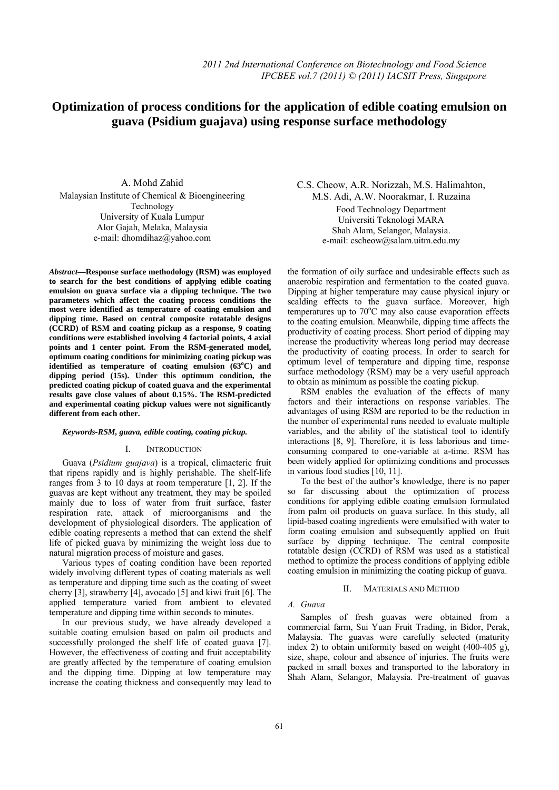# **Optimization of process conditions for the application of edible coating emulsion on**   **guava (Psidium guajava) using response surface methodology**

A. Mohd Zahid Malaysian Institute of Chemical & Bioengineering Technology University of Kuala Lumpur Alor Gajah, Melaka, Malaysia e-mail: dhomdihaz@yahoo.com

*Abstract***—Response surface methodology (RSM) was employed to search for the best conditions of applying edible coating emulsion on guava surface via a dipping technique. The two parameters which affect the coating process conditions the most were identified as temperature of coating emulsion and dipping time. Based on central composite rotatable designs (CCRD) of RSM and coating pickup as a response, 9 coating conditions were established involving 4 factorial points, 4 axial points and 1 center point. From the RSM-generated model, optimum coating conditions for minimizing coating pickup was identified as temperature of coating emulsion (63<sup>o</sup> C) and dipping period (15s). Under this optimum condition, the predicted coating pickup of coated guava and the experimental results gave close values of about 0.15%. The RSM-predicted and experimental coating pickup values were not significantly different from each other.** 

## *Keywords-RSM, guava, edible coating, coating pickup.*

#### I. INTRODUCTION

Guava (*Psidium guajava*) is a tropical, climacteric fruit that ripens rapidly and is highly perishable. The shelf-life ranges from 3 to 10 days at room temperature [1, 2]. If the guavas are kept without any treatment, they may be spoiled mainly due to loss of water from fruit surface, faster respiration rate, attack of microorganisms and the development of physiological disorders. The application of edible coating represents a method that can extend the shelf life of picked guava by minimizing the weight loss due to natural migration process of moisture and gases.

Various types of coating condition have been reported widely involving different types of coating materials as well as temperature and dipping time such as the coating of sweet cherry [3], strawberry [4], avocado [5] and kiwi fruit [6]. The applied temperature varied from ambient to elevated temperature and dipping time within seconds to minutes.

In our previous study, we have already developed a suitable coating emulsion based on palm oil products and successfully prolonged the shelf life of coated guava [7]. However, the effectiveness of coating and fruit acceptability are greatly affected by the temperature of coating emulsion and the dipping time. Dipping at low temperature may increase the coating thickness and consequently may lead to

C.S. Cheow, A.R. Norizzah, M.S. Halimahton, M.S. Adi, A.W. Noorakmar, I. Ruzaina Food Technology Department Universiti Teknologi MARA Shah Alam, Selangor, Malaysia. e-mail: cscheow@salam.uitm.edu.my

the formation of oily surface and undesirable effects such as anaerobic respiration and fermentation to the coated guava. Dipping at higher temperature may cause physical injury or scalding effects to the guava surface. Moreover, high temperatures up to  $70^{\circ}$ C may also cause evaporation effects to the coating emulsion. Meanwhile, dipping time affects the productivity of coating process. Short period of dipping may increase the productivity whereas long period may decrease the productivity of coating process. In order to search for optimum level of temperature and dipping time, response surface methodology (RSM) may be a very useful approach to obtain as minimum as possible the coating pickup.

RSM enables the evaluation of the effects of many factors and their interactions on response variables. The advantages of using RSM are reported to be the reduction in the number of experimental runs needed to evaluate multiple variables, and the ability of the statistical tool to identify interactions [8, 9]. Therefore, it is less laborious and timeconsuming compared to one-variable at a-time. RSM has been widely applied for optimizing conditions and processes in various food studies [10, 11].

To the best of the author's knowledge, there is no paper so far discussing about the optimization of process conditions for applying edible coating emulsion formulated from palm oil products on guava surface. In this study, all lipid-based coating ingredients were emulsified with water to form coating emulsion and subsequently applied on fruit surface by dipping technique. The central composite rotatable design (CCRD) of RSM was used as a statistical method to optimize the process conditions of applying edible coating emulsion in minimizing the coating pickup of guava.

# II. MATERIALS AND METHOD

#### *A. Guava*

Samples of fresh guavas were obtained from a commercial farm, Sui Yuan Fruit Trading, in Bidor, Perak, Malaysia. The guavas were carefully selected (maturity index 2) to obtain uniformity based on weight (400-405 g), size, shape, colour and absence of injuries. The fruits were packed in small boxes and transported to the laboratory in Shah Alam, Selangor, Malaysia. Pre-treatment of guavas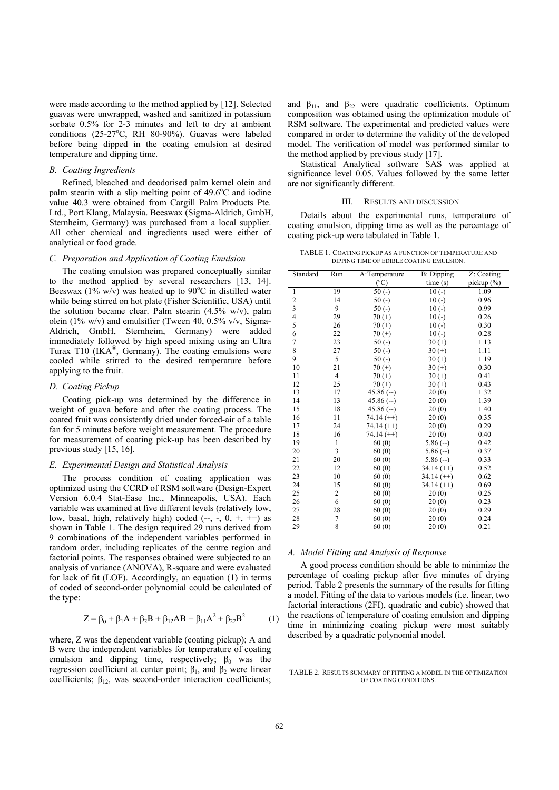were made according to the method applied by [12]. Selected guavas were unwrapped, washed and sanitized in potassium sorbate 0.5% for 2-3 minutes and left to dry at ambient conditions (25-27°C, RH 80-90%). Guavas were labeled before being dipped in the coating emulsion at desired temperature and dipping time.

#### *B. Coating Ingredients*

Refined, bleached and deodorised palm kernel olein and palm stearin with a slip melting point of 49.6°C and iodine value 40.3 were obtained from Cargill Palm Products Pte. Ltd., Port Klang, Malaysia. Beeswax (Sigma-Aldrich, GmbH, Sternheim, Germany) was purchased from a local supplier. All other chemical and ingredients used were either of analytical or food grade.

## *C. Preparation and Application of Coating Emulsion*

The coating emulsion was prepared conceptually similar to the method applied by several researchers [13, 14]. Beeswax (1% w/v) was heated up to 90 $^{\circ}$ C in distilled water while being stirred on hot plate (Fisher Scientific, USA) until the solution became clear. Palm stearin (4.5% w/v), palm olein (1% w/v) and emulsifier (Tween 40, 0.5% v/v, Sigma-Aldrich, GmbH, Sternheim, Germany) were added immediately followed by high speed mixing using an Ultra Turax T10 (IK $A^{\otimes}$ , Germany). The coating emulsions were cooled while stirred to the desired temperature before applying to the fruit.

# *D. Coating Pickup*

Coating pick-up was determined by the difference in weight of guava before and after the coating process. The coated fruit was consistently dried under forced-air of a table fan for 5 minutes before weight measurement. The procedure for measurement of coating pick-up has been described by previous study [15, 16].

## *E. Experimental Design and Statistical Analysis*

The process condition of coating application was optimized using the CCRD of RSM software (Design-Expert Version 6.0.4 Stat-Ease Inc., Minneapolis, USA). Each variable was examined at five different levels (relatively low, low, basal, high, relatively high) coded  $(-, -, 0, +, ++)$  as shown in Table 1. The design required 29 runs derived from 9 combinations of the independent variables performed in random order, including replicates of the centre region and factorial points. The responses obtained were subjected to an analysis of variance (ANOVA), R-square and were evaluated for lack of fit (LOF). Accordingly, an equation (1) in terms of coded of second-order polynomial could be calculated of the type:

$$
Z = \beta_0 + \beta_1 A + \beta_2 B + \beta_{12} AB + \beta_{11} A^2 + \beta_{22} B^2 \tag{1}
$$

where, Z was the dependent variable (coating pickup); A and B were the independent variables for temperature of coating emulsion and dipping time, respectively;  $\beta_0$  was the regression coefficient at center point;  $β_1$ , and  $β_2$  were linear coefficients;  $\beta_{12}$ , was second-order interaction coefficients;

and  $\beta_{11}$ , and  $\beta_{22}$  were quadratic coefficients. Optimum composition was obtained using the optimization module of RSM software. The experimental and predicted values were compared in order to determine the validity of the developed model. The verification of model was performed similar to the method applied by previous study [17].

Statistical Analytical software SAS was applied at significance level 0.05. Values followed by the same letter are not significantly different.

#### III. RESULTS AND DISCUSSION

Details about the experimental runs, temperature of coating emulsion, dipping time as well as the percentage of coating pick-up were tabulated in Table 1.

TABLE 1. COATING PICKUP AS A FUNCTION OF TEMPERATURE AND DIPPING TIME OF EDIBLE COATING EMULSION.

| Standard                 | Run            | A:Temperature<br><b>B</b> : Dipping |              | Z: Coating |
|--------------------------|----------------|-------------------------------------|--------------|------------|
|                          |                | $(^{\circ}C)$                       | time(s)      | pickup (%) |
| $\mathbf{1}$             | 19             | $50(-)$                             | $10(-)$      | 1.09       |
| $\frac{2}{3}$            | 14             | $50(-)$                             | $10(-)$      | 0.96       |
|                          | 9              | $50(-)$                             | $10(-)$      | 0.99       |
| $\overline{\mathcal{L}}$ | 29             | $70 (+)$                            | $10(-)$      | 0.26       |
| 5                        | 26             | $70 (+)$                            | $10(-)$      | 0.30       |
| 6                        | 22             | $70 (+)$                            | $10(-)$      | 0.28       |
| 7                        | 23             | $50(-)$                             | $30 (+)$     | 1.13       |
| 8                        | 27             | $50(-)$                             | $30 (+)$     | 1.11       |
| 9                        | 5              | $50(-)$                             | $30 (+)$     | 1.19       |
| 10                       | 21             | $70 (+)$                            | $30 (+)$     | 0.30       |
| 11                       | $\overline{4}$ | $70 (+)$                            | $30 (+)$     | 0.41       |
| 12                       | 25             | $70 (+)$                            | $30 (+)$     | 0.43       |
| 13                       | 17             | $45.86(-)$                          | 20(0)        | 1.32       |
| 14                       | 13             | $45.86(-)$                          | 20(0)        | 1.39       |
| 15                       | 18             | $45.86(-)$                          | 20(0)        | 1.40       |
| 16                       | 11             | $74.14 (++)$                        | 20(0)        | 0.35       |
| 17                       | 24             | $74.14 (++)$                        | 20(0)        | 0.29       |
| 18                       | 16             | $74.14 (++)$                        | 20(0)        | 0.40       |
| 19                       | 1              | 60(0)                               | $5.86(-)$    | 0.42       |
| 20                       | 3              | 60(0)                               | $5.86(-)$    | 0.37       |
| 21                       | 20             | 60(0)                               | $5.86(-)$    | 0.33       |
| 22                       | 12             | 60(0)                               | $34.14 (++)$ | 0.52       |
| 23                       | 10             | 60(0)                               | $34.14 (++)$ | 0.62       |
| 24                       | 15             | 60(0)                               | $34.14 (++)$ | 0.69       |
| 25                       | $\overline{c}$ | 60(0)                               | 20(0)        | 0.25       |
| 26                       | 6              | 60(0)                               | 20(0)        | 0.23       |
| 27                       | 28             | 60(0)                               | 20(0)        | 0.29       |
| 28                       | 7              | 60(0)                               | 20(0)        | 0.24       |
| 29                       | 8              | 60(0)                               | 20(0)        | 0.21       |

# *A. Model Fitting and Analysis of Response*

A good process condition should be able to minimize the percentage of coating pickup after five minutes of drying period. Table 2 presents the summary of the results for fitting a model. Fitting of the data to various models (i.e. linear, two factorial interactions (2FI), quadratic and cubic) showed that the reactions of temperature of coating emulsion and dipping time in minimizing coating pickup were most suitably described by a quadratic polynomial model.

#### TABLE 2. RESULTS SUMMARY OF FITTING A MODEL IN THE OPTIMIZATION OF COATING CONDITIONS.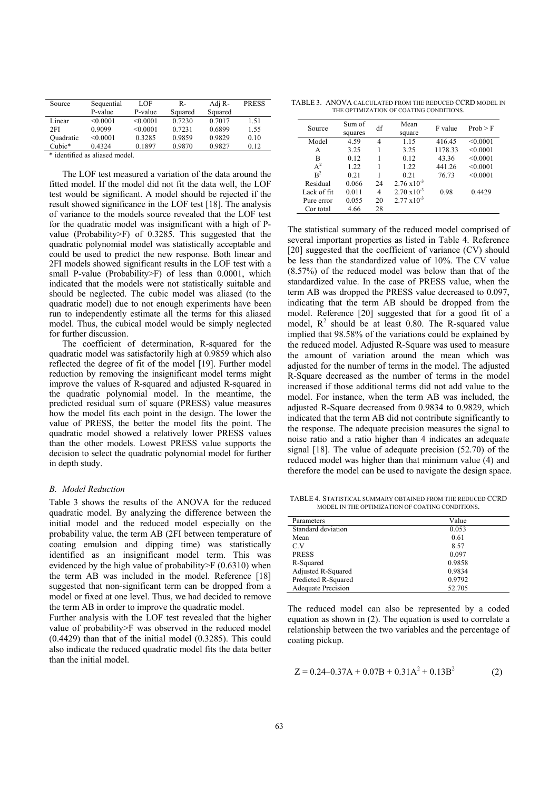| Source    | Sequential | LOF      | R-      | Adj R-  | <b>PRESS</b> |
|-----------|------------|----------|---------|---------|--------------|
|           | P-value    | P-value  | Squared | Squared |              |
| Linear    | < 0.0001   | < 0.0001 | 0.7230  | 0.7017  | 1.51         |
| 2FI       | 0.9099     | < 0.0001 | 0.7231  | 0.6899  | 1.55         |
| Ouadratic | < 0.0001   | 0.3285   | 0.9859  | 0.9829  | 0.10         |
| $Cubic*$  | 0.4324     | 0.1897   | 0.9870  | 0.9827  | 0.12         |

\* identified as aliased model.

The LOF test measured a variation of the data around the fitted model. If the model did not fit the data well, the LOF test would be significant. A model should be rejected if the result showed significance in the LOF test [18]. The analysis of variance to the models source revealed that the LOF test for the quadratic model was insignificant with a high of Pvalue (Probability>F) of 0.3285. This suggested that the quadratic polynomial model was statistically acceptable and could be used to predict the new response. Both linear and 2FI models showed significant results in the LOF test with a small P-value (Probability>F) of less than 0.0001, which indicated that the models were not statistically suitable and should be neglected. The cubic model was aliased (to the quadratic model) due to not enough experiments have been run to independently estimate all the terms for this aliased model. Thus, the cubical model would be simply neglected for further discussion.

The coefficient of determination, R-squared for the quadratic model was satisfactorily high at 0.9859 which also reflected the degree of fit of the model [19]. Further model reduction by removing the insignificant model terms might improve the values of R-squared and adjusted R-squared in the quadratic polynomial model. In the meantime, the predicted residual sum of square (PRESS) value measures how the model fits each point in the design. The lower the value of PRESS, the better the model fits the point. The quadratic model showed a relatively lower PRESS values than the other models. Lowest PRESS value supports the decision to select the quadratic polynomial model for further in depth study.

# *B. Model Reduction*

Table 3 shows the results of the ANOVA for the reduced quadratic model. By analyzing the difference between the initial model and the reduced model especially on the probability value, the term AB (2FI between temperature of coating emulsion and dipping time) was statistically identified as an insignificant model term. This was evidenced by the high value of probability  $\geq$  F (0.6310) when the term AB was included in the model. Reference [18] suggested that non-significant term can be dropped from a model or fixed at one level. Thus, we had decided to remove the term AB in order to improve the quadratic model.

Further analysis with the LOF test revealed that the higher value of probability>F was observed in the reduced model (0.4429) than that of the initial model (0.3285). This could also indicate the reduced quadratic model fits the data better than the initial model.

TABLE 3. ANOVA CALCULATED FROM THE REDUCED CCRD MODEL IN THE OPTIMIZATION OF COATING CONDITIONS.

| Source         | Sum of<br>squares | df | Mean<br>square        | F value | Prob > F |
|----------------|-------------------|----|-----------------------|---------|----------|
| Model          | 4.59              | 4  | 1.15                  | 416.45  | < 0.0001 |
| A              | 3.25              |    | 3.25                  | 1178.33 | < 0.0001 |
| в              | 0.12              |    | 0.12                  | 43.36   | < 0.0001 |
| $A^2$          | 1.22              | 1  | 1.22                  | 441.26  | < 0.0001 |
| R <sup>2</sup> | 0.21              |    | 0.21                  | 76.73   | < 0.0001 |
| Residual       | 0.066             | 24 | $2.76 \times 10^{-3}$ |         |          |
| Lack of fit    | 0.011             | 4  | $2.70 \times 10^{-3}$ | 0.98    | 0.4429   |
| Pure error     | 0.055             | 20 | $2.77 \times 10^{-3}$ |         |          |
| Cor total      | 4.66              | 28 |                       |         |          |

The statistical summary of the reduced model comprised of several important properties as listed in Table 4. Reference [20] suggested that the coefficient of variance (CV) should be less than the standardized value of 10%. The CV value (8.57%) of the reduced model was below than that of the standardized value. In the case of PRESS value, when the term AB was dropped the PRESS value decreased to 0.097, indicating that the term AB should be dropped from the model. Reference [20] suggested that for a good fit of a model,  $R^2$  should be at least 0.80. The R-squared value implied that 98.58% of the variations could be explained by the reduced model. Adjusted R-Square was used to measure the amount of variation around the mean which was adjusted for the number of terms in the model. The adjusted R-Square decreased as the number of terms in the model increased if those additional terms did not add value to the model. For instance, when the term AB was included, the adjusted R-Square decreased from 0.9834 to 0.9829, which indicated that the term AB did not contribute significantly to the response. The adequate precision measures the signal to noise ratio and a ratio higher than 4 indicates an adequate signal [18]. The value of adequate precision (52.70) of the reduced model was higher than that minimum value (4) and therefore the model can be used to navigate the design space.

TABLE 4. STATISTICAL SUMMARY OBTAINED FROM THE REDUCED CCRD MODEL IN THE OPTIMIZATION OF COATING CONDITIONS.

| Parameters                | Value  |
|---------------------------|--------|
| Standard deviation        | 0.053  |
| Mean                      | 0.61   |
| C.V                       | 8.57   |
| <b>PRESS</b>              | 0.097  |
| R-Squared                 | 0.9858 |
| Adjusted R-Squared        | 0.9834 |
| Predicted R-Squared       | 0.9792 |
| <b>Adequate Precision</b> | 52.705 |

The reduced model can also be represented by a coded equation as shown in (2). The equation is used to correlate a relationship between the two variables and the percentage of coating pickup.

$$
Z = 0.24 - 0.37A + 0.07B + 0.31A^{2} + 0.13B^{2}
$$
 (2)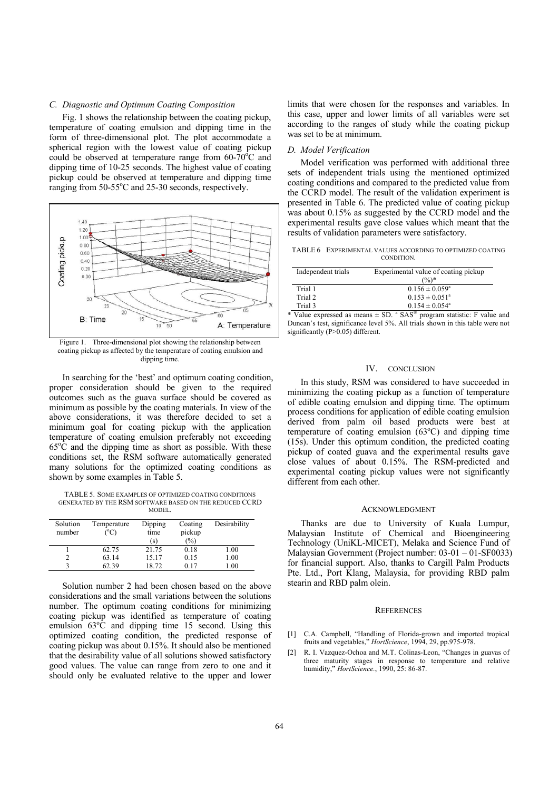## *C. Diagnostic and Optimum Coating Composition*

Fig. 1 shows the relationship between the coating pickup, temperature of coating emulsion and dipping time in the form of three-dimensional plot. The plot accommodate a spherical region with the lowest value of coating pickup could be observed at temperature range from  $60-70^{\circ}$ C and dipping time of 10-25 seconds. The highest value of coating pickup could be observed at temperature and dipping time ranging from 50-55°C and 25-30 seconds, respectively.



coating pickup as affected by the temperature of coating emulsion and dipping time.

In searching for the 'best' and optimum coating condition, proper consideration should be given to the required outcomes such as the guava surface should be covered as minimum as possible by the coating materials. In view of the above considerations, it was therefore decided to set a minimum goal for coating pickup with the application temperature of coating emulsion preferably not exceeding  $65^{\circ}$ C and the dipping time as short as possible. With these conditions set, the RSM software automatically generated many solutions for the optimized coating conditions as shown by some examples in Table 5.

TABLE 5. SOME EXAMPLES OF OPTIMIZED COATING CONDITIONS GENERATED BY THE RSM SOFTWARE BASED ON THE REDUCED CCRD MODEL.

| Solution<br>number | Temperature<br>$^{\circ}$ C) | Dipping<br>time<br>(S) | Coating<br>pickup<br>(%) | Desirability |
|--------------------|------------------------------|------------------------|--------------------------|--------------|
|                    | 62.75                        | 21.75                  | 0.18                     | 1.00         |
|                    | 63.14                        | 15.17                  | 0.15                     | 1.00         |
|                    | 62.39                        | 18.72                  | 0.17                     | 1.00         |

Solution number 2 had been chosen based on the above considerations and the small variations between the solutions number. The optimum coating conditions for minimizing coating pickup was identified as temperature of coating emulsion  $63^{\circ}\text{C}$  and dipping time 15 second. Using this optimized coating condition, the predicted response of coating pickup was about 0.15%. It should also be mentioned that the desirability value of all solutions showed satisfactory good values. The value can range from zero to one and it should only be evaluated relative to the upper and lower

limits that were chosen for the responses and variables. In this case, upper and lower limits of all variables were set according to the ranges of study while the coating pickup was set to be at minimum.

# *D. Model Verification*

Model verification was performed with additional three sets of independent trials using the mentioned optimized coating conditions and compared to the predicted value from the CCRD model. The result of the validation experiment is presented in Table 6. The predicted value of coating pickup was about 0.15% as suggested by the CCRD model and the experimental results gave close values which meant that the results of validation parameters were satisfactory.

| TABLE 6 EXPERIMENTAL VALUES ACCORDING TO OPTIMIZED COATING |
|------------------------------------------------------------|
| CONDITION.                                                 |

| Independent trials | Experimental value of coating pickup<br>$(\%)^*$ |
|--------------------|--------------------------------------------------|
| Trial 1            | $0.156 \pm 0.059^{\circ}$                        |
| Trial 2            | $0.153 \pm 0.051^{\circ}$                        |
| Trial 3            | $0.154 \pm 0.054$ <sup>a</sup>                   |

\* Value expressed as means  $\pm$  SD.  $\alpha$  SAS<sup>®</sup> program statistic: F value and Duncan's test, significance level 5%. All trials shown in this table were not significantly (P>0.05) different.

## IV. CONCLUSION

In this study, RSM was considered to have succeeded in minimizing the coating pickup as a function of temperature of edible coating emulsion and dipping time. The optimum process conditions for application of edible coating emulsion derived from palm oil based products were best at temperature of coating emulsion  $(63^{\circ}C)$  and dipping time (15s). Under this optimum condition, the predicted coating pickup of coated guava and the experimental results gave close values of about 0.15%. The RSM-predicted and experimental coating pickup values were not significantly different from each other.

## ACKNOWLEDGMENT

Thanks are due to University of Kuala Lumpur, Malaysian Institute of Chemical and Bioengineering Technology (UniKL-MICET), Melaka and Science Fund of Malaysian Government (Project number: 03-01 – 01-SF0033) for financial support. Also, thanks to Cargill Palm Products Pte. Ltd., Port Klang, Malaysia, for providing RBD palm stearin and RBD palm olein.

# **REFERENCES**

- [1] C.A. Campbell, "Handling of Florida-grown and imported tropical fruits and vegetables," *HortScience*, 1994, 29, pp.975-978.
- [2] R. I. Vazquez-Ochoa and M.T. Colinas-Leon, "Changes in guavas of three maturity stages in response to temperature and relative humidity," *HortScience.*, 1990, 25: 86-87.